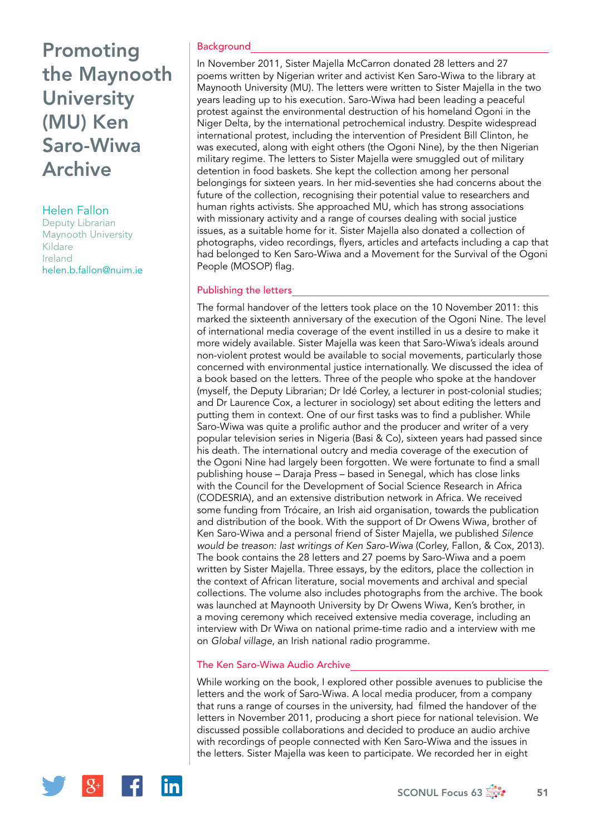# Promoting the Maynooth **University** (MU) Ken Saro-Wiwa Archive

## Helen Fallon

Deputy Librarian Maynooth University Kildare Ireland [helen.b.fallon@nuim.ie](mailto:helen.b.fallon@nuim.ie)

### **Background**

In November 2011, Sister Majella McCarron donated 28 letters and 27 poems written by Nigerian writer and activist Ken Saro-Wiwa to the library at Maynooth University (MU). The letters were written to Sister Majella in the two years leading up to his execution. Saro-Wiwa had been leading a peaceful protest against the environmental destruction of his homeland Ogoni in the Niger Delta, by the international petrochemical industry. Despite widespread international protest, including the intervention of President Bill Clinton, he was executed, along with eight others (the Ogoni Nine), by the then Nigerian military regime. The letters to Sister Majella were smuggled out of military detention in food baskets. She kept the collection among her personal belongings for sixteen years. In her mid-seventies she had concerns about the future of the collection, recognising their potential value to researchers and human rights activists. She approached MU, which has strong associations with missionary activity and a range of courses dealing with social justice issues, as a suitable home for it. Sister Majella also donated a collection of photographs, video recordings, flyers, articles and artefacts including a cap that had belonged to Ken Saro-Wiwa and a Movement for the Survival of the Ogoni People (MOSOP) flag.

## Publishing the letters

The formal handover of the letters took place on the 10 November 2011: this marked the sixteenth anniversary of the execution of the Ogoni Nine. The level of international media coverage of the event instilled in us a desire to make it more widely available. Sister Majella was keen that Saro-Wiwa's ideals around non-violent protest would be available to social movements, particularly those concerned with environmental justice internationally. We discussed the idea of a book based on the letters. Three of the people who spoke at the handover (myself, the Deputy Librarian; Dr Idé Corley, a lecturer in post-colonial studies; and Dr Laurence Cox, a lecturer in sociology) set about editing the letters and putting them in context. One of our first tasks was to find a publisher. While Saro-Wiwa was quite a prolific author and the producer and writer of a very popular television series in Nigeria (Basi & Co), sixteen years had passed since his death. The international outcry and media coverage of the execution of the Ogoni Nine had largely been forgotten. We were fortunate to find a small publishing house – Daraja Press – based in Senegal, which has close links with the Council for the Development of Social Science Research in Africa (CODESRIA), and an extensive distribution network in Africa. We received some funding from Trócaire, an Irish aid organisation, towards the publication and distribution of the book. With the support of Dr Owens Wiwa, brother of Ken Saro-Wiwa and a personal friend of Sister Majella, we published *Silence would be treason: last writings of Ken Saro-Wiwa* (Corley, Fallon, & Cox, 2013). The book contains the 28 letters and 27 poems by Saro-Wiwa and a poem written by Sister Majella. Three essays, by the editors, place the collection in the context of African literature, social movements and archival and special collections. The volume also includes photographs from the archive. The book was launched at Maynooth University by Dr Owens Wiwa, Ken's brother, in a moving ceremony which received extensive media coverage, including an interview with Dr Wiwa on national prime-time radio and a interview with me on *Global village*, an Irish national radio programme.

## The Ken Saro-Wiwa Audio Archive

While working on the book, I explored other possible avenues to publicise the letters and the work of Saro-Wiwa. A local media producer, from a company that runs a range of courses in the university, had filmed the handover of the letters in November 2011, producing a short piece for national television. We discussed possible collaborations and decided to produce an audio archive with recordings of people connected with Ken Saro-Wiwa and the issues in the letters. Sister Majella was keen to participate. We recorded her in eight

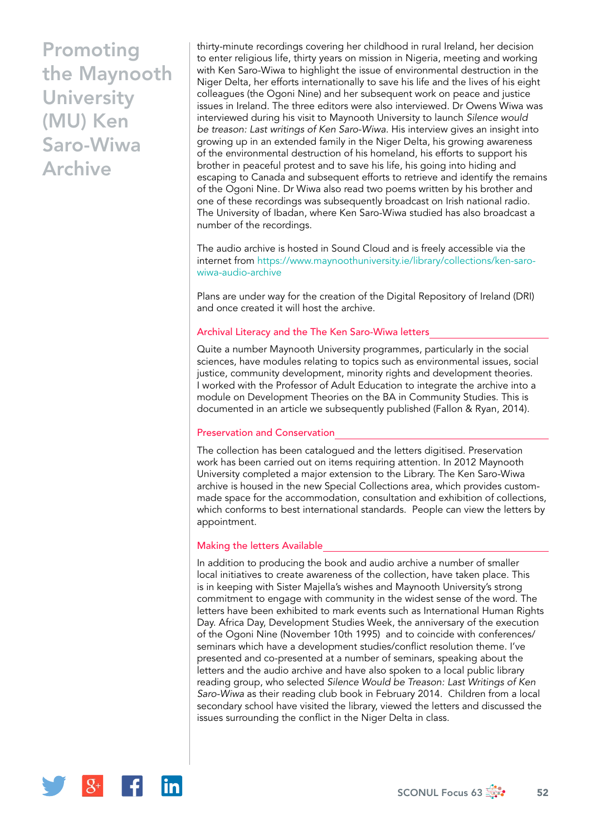## Promoting the Maynooth **University** (MU) Ken Saro-Wiwa Archive

thirty-minute recordings covering her childhood in rural Ireland, her decision to enter religious life, thirty years on mission in Nigeria, meeting and working with Ken Saro-Wiwa to highlight the issue of environmental destruction in the Niger Delta, her efforts internationally to save his life and the lives of his eight colleagues (the Ogoni Nine) and her subsequent work on peace and justice issues in Ireland. The three editors were also interviewed. Dr Owens Wiwa was interviewed during his visit to Maynooth University to launch *Silence would be treason: Last writings of Ken Saro-Wiwa*. His interview gives an insight into growing up in an extended family in the Niger Delta, his growing awareness of the environmental destruction of his homeland, his efforts to support his brother in peaceful protest and to save his life, his going into hiding and escaping to Canada and subsequent efforts to retrieve and identify the remains of the Ogoni Nine. Dr Wiwa also read two poems written by his brother and one of these recordings was subsequently broadcast on Irish national radio. The University of Ibadan, where Ken Saro-Wiwa studied has also broadcast a number of the recordings.

The audio archive is hosted in Sound Cloud and is freely accessible via the internet from https://www.maynoothuniversity.ie/library/collections/ken-sarowiwa-audio-archive

Plans are under way for the creation of the Digital Repository of Ireland (DRI) and once created it will host the archive.

#### Archival Literacy and the The Ken Saro-Wiwa letters

Quite a number Maynooth University programmes, particularly in the social sciences, have modules relating to topics such as environmental issues, social justice, community development, minority rights and development theories. I worked with the Professor of Adult Education to integrate the archive into a module on Development Theories on the BA in Community Studies. This is documented in an article we subsequently published (Fallon & Ryan, 2014).

#### Preservation and Conservation

The collection has been catalogued and the letters digitised. Preservation work has been carried out on items requiring attention. In 2012 Maynooth University completed a major extension to the Library. The Ken Saro-Wiwa archive is housed in the new Special Collections area, which provides custommade space for the accommodation, consultation and exhibition of collections, which conforms to best international standards. People can view the letters by appointment.

## Making the letters Available

In addition to producing the book and audio archive a number of smaller local initiatives to create awareness of the collection, have taken place. This is in keeping with Sister Majella's wishes and Maynooth University's strong commitment to engage with community in the widest sense of the word. The letters have been exhibited to mark events such as International Human Rights Day. Africa Day, Development Studies Week, the anniversary of the execution of the Ogoni Nine (November 10th 1995) and to coincide with conferences/ seminars which have a development studies/conflict resolution theme. I've presented and co-presented at a number of seminars, speaking about the letters and the audio archive and have also spoken to a local public library reading group, who selected *Silence Would be Treason: Last Writings of Ken Saro-Wiwa* as their reading club book in February 2014. Children from a local secondary school have visited the library, viewed the letters and discussed the issues surrounding the conflict in the Niger Delta in class.